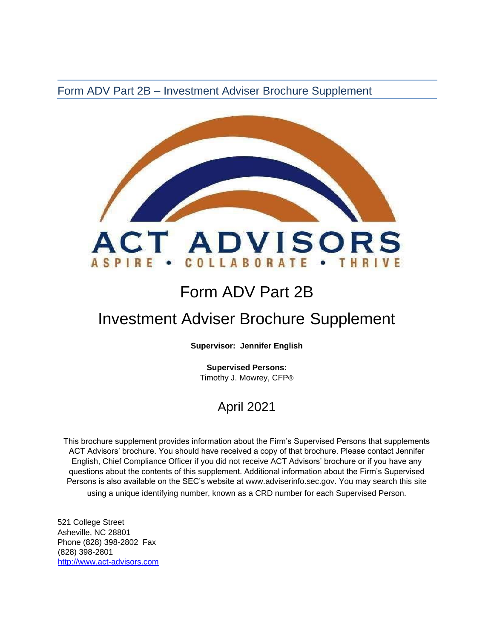Form ADV Part 2B – Investment Adviser Brochure Supplement



# Form ADV Part 2B

# Investment Adviser Brochure Supplement

**Supervisor: Jennifer English**

**Supervised Persons:** Timothy J. Mowrey, CFP®

## April 2021

This brochure supplement provides information about the Firm's Supervised Persons that supplements ACT Advisors' brochure. You should have received a copy of that brochure. Please contact Jennifer English, Chief Compliance Officer if you did not receive ACT Advisors' brochure or if you have any questions about the contents of this supplement. Additional information about the Firm's Supervised Persons is also available on the SEC's website at [www.adviserinfo.sec.gov. Y](http://www.adviserinfo.sec.gov/)ou may search this site using a unique identifying number, known as a CRD number for each Supervised Person.

521 College Street Asheville, NC 28801 Phone (828) 398-2802 Fax (828) 398-2801 [http://www.act-advisors.com](http://www.act-advisors.com/)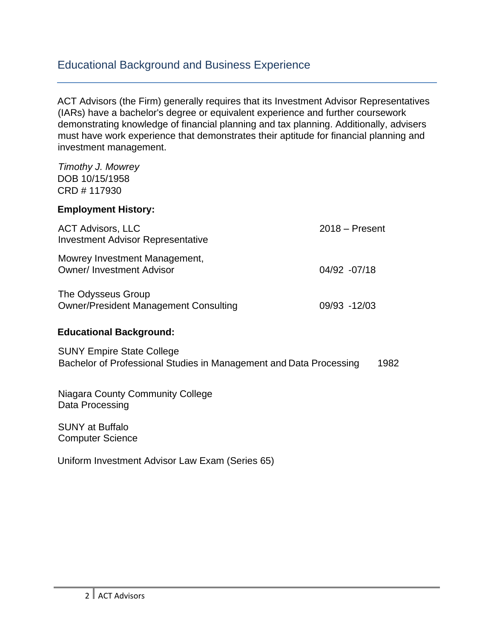### Educational Background and Business Experience

ACT Advisors (the Firm) generally requires that its Investment Advisor Representatives (IARs) have a bachelor's degree or equivalent experience and further coursework demonstrating knowledge of financial planning and tax planning. Additionally, advisers must have work experience that demonstrates their aptitude for financial planning and investment management.

*Timothy J. Mowrey*  DOB 10/15/1958 CRD # 117930

#### **Employment History:**

| <b>ACT Advisors, LLC</b><br><b>Investment Advisor Representative</b> | $2018 -$ Present |
|----------------------------------------------------------------------|------------------|
| Mowrey Investment Management,<br><b>Owner/Investment Advisor</b>     | 04/92 - 07/18    |
| The Odysseus Group<br><b>Owner/President Management Consulting</b>   | 09/93 -12/03     |

#### **Educational Background:**

SUNY Empire State College Bachelor of Professional Studies in Management and Data Processing 1982

Niagara County Community College Data Processing

SUNY at Buffalo Computer Science

Uniform Investment Advisor Law Exam (Series 65)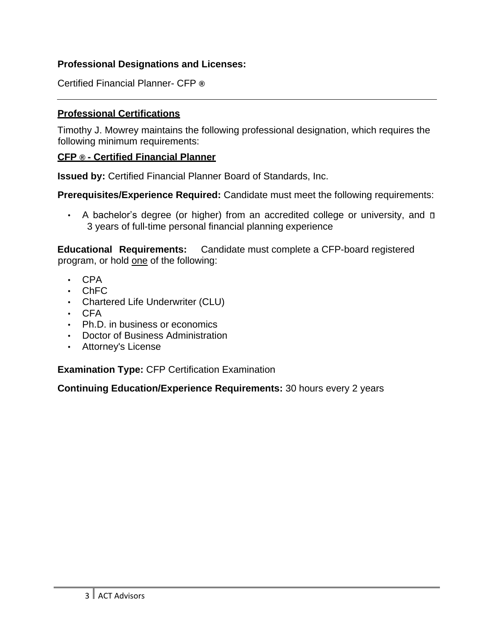#### **Professional Designations and Licenses:**

Certified Financial Planner- CFP **®**

#### **Professional Certifications**

Timothy J. Mowrey maintains the following professional designation, which requires the following minimum requirements:

#### **CFP ® - Certified Financial Planner**

**Issued by:** [Certified Financial Planner Board of Standards, Inc.](http://www.cfp.net/default.asp)

**Prerequisites/Experience Required:** Candidate must meet the following requirements:

• A bachelor's degree (or higher) from an accredited college or university, and  $\square$ 3 years of full-time personal financial planning experience

**Educational Requirements:** Candidate must complete a [CFP-board registered](http://www.cfp.net/become/programs.asp) [program, o](http://www.cfp.net/become/programs.asp)r hold one of the following:

- CPA
- ChFC
- Chartered Life Underwriter (CLU)
- CFA
- Ph.D. in business or economics
- Doctor of Business Administration
- Attorney's License

**Examination Type:** CFP Certification Examination

**Continuing Education/Experience Requirements:** 30 hours every 2 years